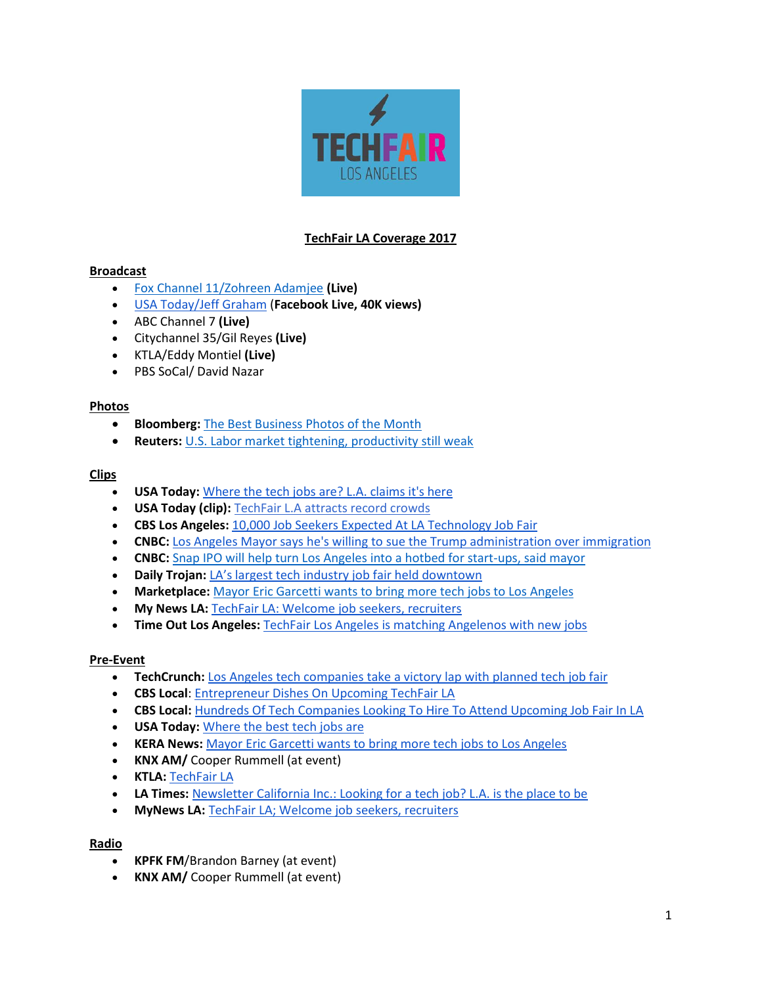

## **TechFair LA Coverage 2017**

## **Broadcast**

- [Fox Channel 11/Zohreen Adamjee](http://www.foxla.com/news/232498139-video) **(Live)**
- [USA Today/Jeff Graham](https://www.facebook.com/usatodaymoney/videos/1440818059275663/?hc_ref=PAGES_TIMELINE) (**Facebook Live, 40K views)**
- ABC Channel 7 **(Live)**
- Citychannel 35/Gil Reyes **(Live)**
- KTLA/Eddy Montiel **(Live)**
- PBS SoCal/ David Nazar

### **Photos**

- **Bloomberg:** [The Best Business Photos of the Month](https://www.bloomberg.com/news/features/2017-02-01/the-best-business-photos-of-the-month)
- **Reuters:** U.S. Labor market [tightening, productivity still weak](http://www.reuters.com/article/us-usa-economy-unemployment-idUSKBN15H1K3)

### **Clips**

- **USA Today:** [Where the tech jobs are? L.A. claims it's here](http://www.usatoday.com/story/tech/2017/01/25/where-tech-jobs-l-claims-s-here/97007990/)
- **USA Today (clip):** [TechFair L.A attracts record crowds](http://www.usatoday.com/videos/tech/2017/01/27/techfair-l.-attracts-record-crowds/97147032/)
- **CBS Los Angeles:** [10,000 Job Seekers Expected At LA Technology Job Fair](http://losangeles.cbslocal.com/2017/01/26/10000-job-seekers-expected-at-la-technology-job-fair/)
- **CNBC:** [Los Angeles Mayor says he's willing to sue the Trump administration over immigration](http://www.cnbc.com/2017/01/27/los-angeles-mayor-garcetti-on-trump-immigration-trade.html)
- **CNBC:** [Snap IPO will help turn Los Angeles into a hotbed for start-ups, said mayor](http://www.cnbc.com/2017/01/27/snap-ipo-los-angeles-mayor-hopes-for-tech-hub.html)
- **Daily Trojan:** [LA's largest tech industry job fair held downtown](http://dailytrojan.com/2017/01/26/las-largest-tech-industry-job-fair-held-downtown/)
- **Marketplace:** [Mayor Eric Garcetti wants to bring more tech jobs to Los Angeles](https://www.marketplace.org/2017/01/26/tech/la-could-be-next-tech-hub-says-mayor)
- **My News LA:** [TechFair LA: Welcome job seekers, recruiters](http://mynewsla.com/business/2017/01/26/techfair-la-welcome-job-seekers-recruiters/)
- **Time Out Los Angeles:** [TechFair Los Angeles is matching Angelenos with new jobs](https://www.timeout.com/los-angeles/blog/techfair-los-angeles-is-matching-angelenos-with-new-jobs-012617)

## **Pre-Event**

- **TechCrunch:** [Los Angeles tech companies take a victory lap with planned tech job fair](https://techcrunch.com/2017/01/13/los-angeles-tech-companies-take-a-victory-lap-with-planned-tech-job-fair/)
- **CBS Local**: [Entrepreneur Dishes On Upcoming TechFair LA](http://losangeles.cbslocal.com/video/category/news/3610708-entrepreneur-dishes-on-upcoming-techfair-la/)
- **CBS Local:** [Hundreds Of Tech Companies Looking To Hire To Attend Upcoming Job Fair In LA](http://losangeles.cbslocal.com/2017/01/22/hundreds-of-premier-tech-companies-looking-to-hire-to-attend-upcoming-job-fair-in-la/)
- **USA Today:** [Where the best tech jobs are](http://www.usatoday.com/story/tech/talkingtech/2017/01/16/where-best-tech-jobs/96557824/)
- **KERA News:** [Mayor Eric Garcetti wants to bring more tech jobs to Los Angeles](http://keranews.org/post/mayor-eric-garcetti-wants-bring-more-tech-jobs-los-angeles)
- **KNX AM/** Cooper Rummell (at event)
- **KTLA:** [TechFair LA](http://ktla.com/2017/01/06/techfair-la/)
- **LA Times:** [Newsletter California Inc.: Looking for a tech job? L.A. is the place to be](http://www.latimes.com/business/lazarus/la-fi-lazarus-newsletter-california-inc-20170123-story.html)
- **MyNews LA:** [TechFair LA; Welcome job seekers, recruiters](http://mynewsla.com/business/2017/01/26/techfair-la-welcome-job-seekers-recruiters/)

#### **Radio**

- **KPFK FM**/Brandon Barney (at event)
- **KNX AM/** Cooper Rummell (at event)